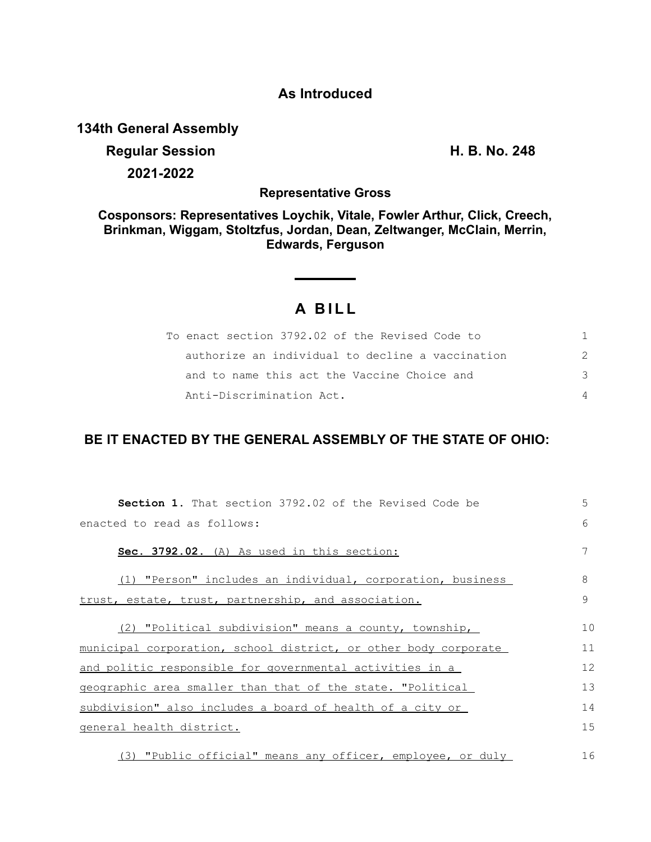## **As Introduced**

**134th General Assembly**

## **Regular Session H. B. No. 248 2021-2022**

**Representative Gross**

**Cosponsors: Representatives Loychik, Vitale, Fowler Arthur, Click, Creech, Brinkman, Wiggam, Stoltzfus, Jordan, Dean, Zeltwanger, McClain, Merrin, Edwards, Ferguson**

## **A B I L L**

| To enact section 3792.02 of the Revised Code to  |   |
|--------------------------------------------------|---|
| authorize an individual to decline a vaccination |   |
| and to name this act the Vaccine Choice and      | २ |
| Anti-Discrimination Act.                         |   |

## **BE IT ENACTED BY THE GENERAL ASSEMBLY OF THE STATE OF OHIO:**

| <b>Section 1.</b> That section 3792.02 of the Revised Code be   | 5  |
|-----------------------------------------------------------------|----|
| enacted to read as follows:                                     | 6  |
| Sec. 3792.02. (A) As used in this section:                      | 7  |
| (1) "Person" includes an individual, corporation, business      | 8  |
| trust, estate, trust, partnership, and association.             | 9  |
| (2) "Political subdivision" means a county, township,           | 10 |
| municipal corporation, school district, or other body corporate | 11 |
| and politic responsible for governmental activities in a        | 12 |
| geographic area smaller than that of the state. "Political      | 13 |
| subdivision" also includes a board of health of a city or       | 14 |
| general health district.                                        | 15 |
| (3) "Public official" means any officer, employee, or duly      | 16 |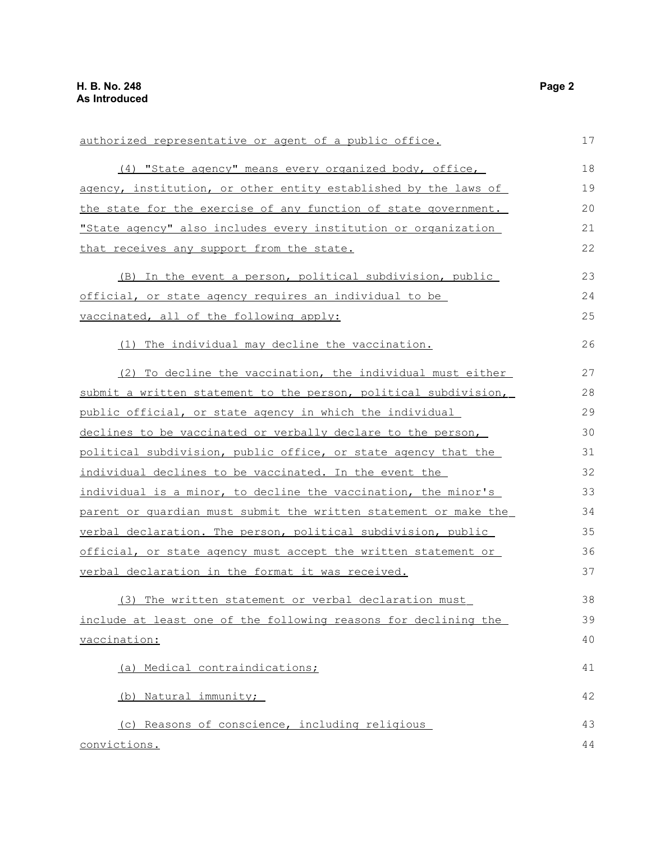| authorized representative or agent of a public office.           | 17 |
|------------------------------------------------------------------|----|
| (4) "State agency" means every organized body, office,           | 18 |
| agency, institution, or other entity established by the laws of  | 19 |
| the state for the exercise of any function of state government.  | 20 |
| "State agency" also includes every institution or organization   | 21 |
| that receives any support from the state.                        | 22 |
| (B) In the event a person, political subdivision, public         | 23 |
| official, or state agency requires an individual to be           | 24 |
| vaccinated, all of the following apply:                          | 25 |
| (1) The individual may decline the vaccination.                  | 26 |
| (2) To decline the vaccination, the individual must either       | 27 |
| submit a written statement to the person, political subdivision, | 28 |
| public official, or state agency in which the individual         | 29 |
| declines to be vaccinated or verbally declare to the person,     | 30 |
| political subdivision, public office, or state agency that the   | 31 |
| individual declines to be vaccinated. In the event the           | 32 |
| individual is a minor, to decline the vaccination, the minor's   | 33 |
| parent or guardian must submit the written statement or make the | 34 |
| verbal declaration. The person, political subdivision, public    | 35 |
| official, or state agency must accept the written statement or   | 36 |
| verbal declaration in the format it was received.                | 37 |
| (3) The written statement or verbal declaration must             | 38 |
| include at least one of the following reasons for declining the  | 39 |
| vaccination:                                                     | 40 |
| (a) Medical contraindications;                                   | 41 |
| (b) Natural immunity;                                            | 42 |
| (c) Reasons of conscience, including religious                   | 43 |
| convictions.                                                     | 44 |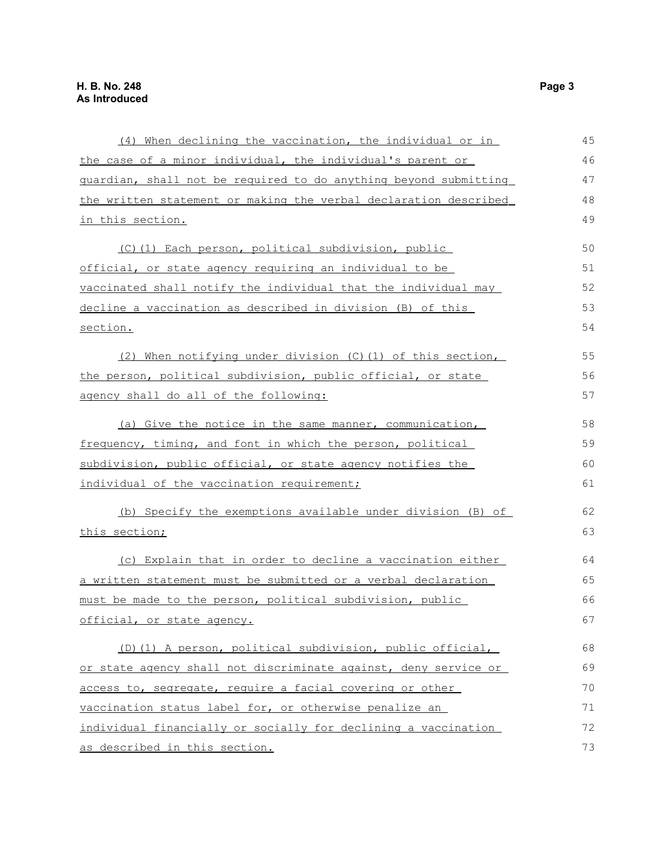| (4) When declining the vaccination, the individual or in         | 45 |
|------------------------------------------------------------------|----|
| the case of a minor individual, the individual's parent or       | 46 |
| guardian, shall not be required to do anything beyond submitting | 47 |
| the written statement or making the verbal declaration described | 48 |
| in this section.                                                 | 49 |
| (C)(1) Each person, political subdivision, public                | 50 |
| official, or state agency requiring an individual to be          | 51 |
| vaccinated shall notify the individual that the individual may   | 52 |
| decline a vaccination as described in division (B) of this       | 53 |
| section.                                                         | 54 |
| (2) When notifying under division (C)(1) of this section,        | 55 |
| the person, political subdivision, public official, or state     | 56 |
| agency shall do all of the following:                            | 57 |
| (a) Give the notice in the same manner, communication,           | 58 |
| frequency, timing, and font in which the person, political       | 59 |
| subdivision, public official, or state agency notifies the       | 60 |
| individual of the vaccination requirement;                       | 61 |
| (b) Specify the exemptions available under division (B) of       | 62 |
| this section;                                                    | 63 |
| (c) Explain that in order to decline a vaccination either        | 64 |
| a written statement must be submitted or a verbal declaration    | 65 |
| must be made to the person, political subdivision, public        | 66 |
| official, or state agency.                                       | 67 |
| (D)(1) A person, political subdivision, public official,         | 68 |
| or state agency shall not discriminate against, deny service or  | 69 |
| access to, segregate, require a facial covering or other         | 70 |
| vaccination status label for, or otherwise penalize an           | 71 |
| individual financially or socially for declining a vaccination   | 72 |
| as described in this section.                                    | 73 |